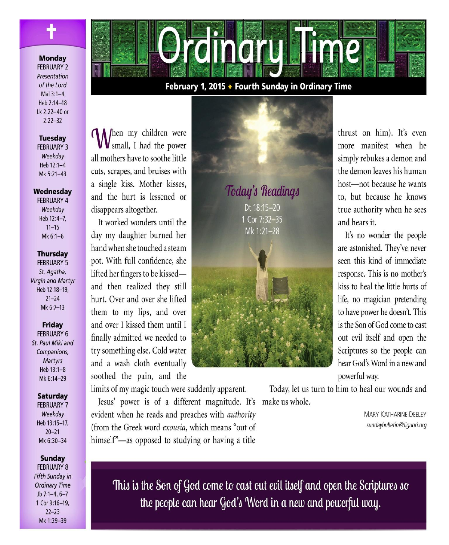

#### **Monday**

**FEBRUARY 2** Presentation of the Lord Mal 3:1-4 Heb 2:14-18 Lk 2:22-40 or  $2:22 - 32$ 

**Tuesday FEBRUARY 3** Weekday

Heb 12:1-4 Mk 5:21-43

#### Wednesday

**FEBRUARY 4** Weekdav Heb 12:4-7.  $11 - 15$ Mk 6:1-6

#### **Thursday**

**FEBRUARY 5** St. Agatha, **Virgin and Martyr** Heb 12:18-19,  $21 - 24$ Mk 6:7-13

#### **Friday**

**FEBRUARY 6** St. Paul Miki and Companions, Martyrs Heb 13:1-8 Mk 6:14-29

#### **Saturday**

**FEBRUARY 7** Weekday Heb 13:15-17,  $20 - 21$ Mk 6:30-34

#### Sunday

**FEBRUARY 8** Fifth Sunday in **Ordinary Time** Jb  $7:1-4, 6-7$ 1 Cor 9:16-19,  $22 - 23$ Mk 1:29-39



## February 1, 2015 + Fourth Sunday in Ordinary Time

**A** /hen my children were small, I had the power all mothers have to soothe little cuts, scrapes, and bruises with a single kiss. Mother kisses, and the hurt is lessened or disappears altogether.

It worked wonders until the day my daughter burned her hand when she touched a steam pot. With full confidence, she lifted her fingers to be kissedand then realized they still hurt. Over and over she lifted them to my lips, and over and over I kissed them until I finally admitted we needed to try something else. Cold water and a wash cloth eventually soothed the pain, and the

limits of my magic touch were suddenly apparent.

Jesus' power is of a different magnitude. It's make us whole. evident when he reads and preaches with *authority* (from the Greek word exousia, which means "out of himself"-as opposed to studying or having a title



powerful way. Today, let us turn to him to heal our wounds and

> **MARY KATHARINE DEELEY** sundaybulletin@liguori.org

It's no wonder the people

This is the Son of God come to cast out evil itself and open the Scriptures so the people can hear God's Word in a new and powerful way.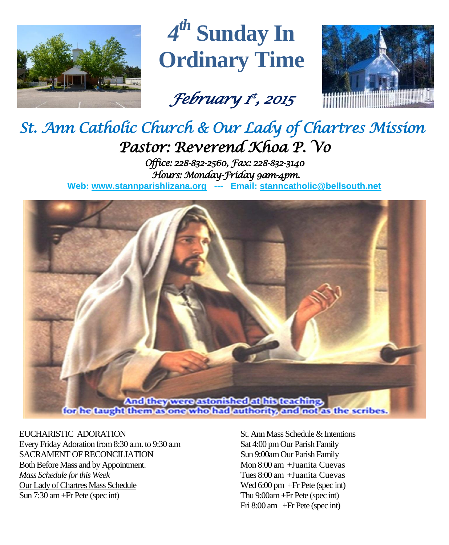

*4 th* **Sunday In Ordinary Time**

*February 1 st , 2015* 



# *St. Ann Catholic Church & Our Lady of Chartres Mission Pastor: Reverend Khoa P. Vo*

*Office: 228-832-2560, Fax: 228-832-3140 Hours: Monday-Friday 9am-4pm.*  **Web: www.stannparishlizana.org --- Email: [stanncatholic@bellsouth.net](mailto:stanncatholic@bellsouth.net)**



## EUCHARISTIC ADORATION

Every Friday Adoration from 8:30 a.m. to 9:30 a.m SACRAMENT OF RECONCILIATION Both Before Mass and by Appointment. *Mass Schedule for this Week*  Our Lady of Chartres Mass Schedule Sun 7:30 am +Fr Pete (spec int)

## St. Ann Mass Schedule & Intentions Sat 4:00 pm Our Parish Family Sun 9:00am Our Parish Family Mon 8:00 am +Juanita Cuevas Tues 8:00 am +Juanita Cuevas Wed 6:00 pm +Fr Pete (spec int) Thu 9:00am+Fr Pete (spec int) Fri 8:00 am +Fr Pete (spec int)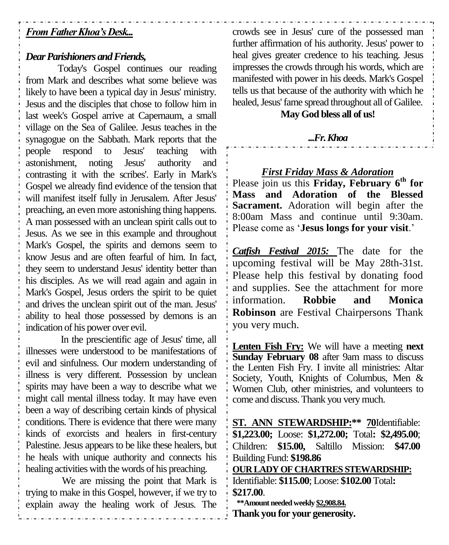# *From Father Khoa's Desk...*

# *Dear Parishioners and Friends,*

Today's Gospel continues our reading from Mark and describes what some believe was likely to have been a typical day in Jesus' ministry. Jesus and the disciples that chose to follow him in last week's Gospel arrive at Capernaum, a small village on the Sea of Galilee. Jesus teaches in the synagogue on the Sabbath. Mark reports that the people respond to Jesus' teaching with astonishment, noting Jesus' authority and contrasting it with the scribes'. Early in Mark's Gospel we already find evidence of the tension that will manifest itself fully in Jerusalem. After Jesus' preaching, an even more astonishing thing happens. A man possessed with an unclean spirit calls out to Jesus. As we see in this example and throughout Mark's Gospel, the spirits and demons seem to know Jesus and are often fearful of him. In fact, they seem to understand Jesus' identity better than his disciples. As we will read again and again in Mark's Gospel, Jesus orders the spirit to be quiet and drives the unclean spirit out of the man. Jesus' ability to heal those possessed by demons is an indication of his power over evil.

In the prescientific age of Jesus' time, all illnesses were understood to be manifestations of evil and sinfulness. Our modern understanding of illness is very different. Possession by unclean spirits may have been a way to describe what we might call mental illness today. It may have even been a way of describing certain kinds of physical conditions. There is evidence that there were many kinds of exorcists and healers in first-century Palestine. Jesus appears to be like these healers, but he heals with unique authority and connects his healing activities with the words of his preaching.

We are missing the point that Mark is trying to make in this Gospel, however, if we try to explain away the healing work of Jesus. The crowds see in Jesus' cure of the possessed man further affirmation of his authority. Jesus' power to heal gives greater credence to his teaching. Jesus impresses the crowds through his words, which are manifested with power in his deeds. Mark's Gospel tells us that because of the authority with which he healed, Jesus' fame spread throughout all of Galilee.

# **May God bless all of us!**

## *...Fr. Khoa*

*First Friday Mass & Adoration* Please join us this **Friday, February 6th for Mass and Adoration of the Blessed Sacrament.** Adoration will begin after the 8:00am Mass and continue until 9:30am. Please come as '**Jesus longs for your visit**.'

*Catfish Festival 2015:* The date for the upcoming festival will be May 28th-31st. Please help this festival by donating food and supplies. See the attachment for more information. **Robbie and Monica Robinson** are Festival Chairpersons Thank you very much.

**Lenten Fish Fry:** We will have a meeting **next Sunday February 08** after 9am mass to discuss the Lenten Fish Fry. I invite all ministries: Altar Society, Youth, Knights of Columbus, Men & Women Club, other ministries, and volunteers to come and discuss. Thank you very much.

**ST. ANN STEWARDSHIP:\*\* 70**Identifiable: **\$1,223.00;** Loose: **\$1,272.00;** Total**: \$2,495.00**; Children: **\$15.00,** Saltillo Mission: **\$47.00** Building Fund: **\$198.86 OUR LADY OF CHARTRES STEWARDSHIP:** Identifiable: **\$115.00**; Loose: **\$102.00** Total**: \$217.00**.  **\*\*Amount needed weekly \$2,908.84.**

**Thank you for your generosity.**